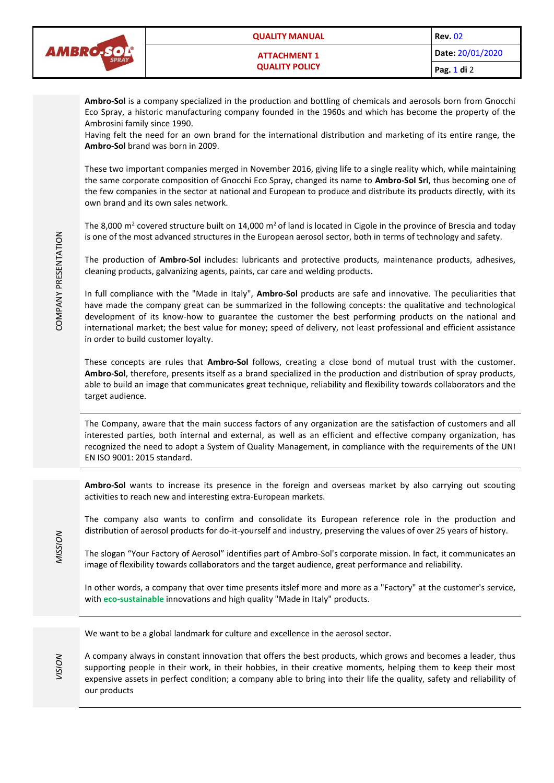

**Ambro-Sol** is a company specialized in the production and bottling of chemicals and aerosols born from Gnocchi Eco Spray, a historic manufacturing company founded in the 1960s and which has become the property of the Ambrosini family since 1990.

Having felt the need for an own brand for the international distribution and marketing of its entire range, the **Ambro-Sol** brand was born in 2009.

These two important companies merged in November 2016, giving life to a single reality which, while maintaining the same corporate composition of Gnocchi Eco Spray, changed its name to **Ambro-Sol Srl**, thus becoming one of the few companies in the sector at national and European to produce and distribute its products directly, with its own brand and its own sales network.

The 8,000 m<sup>2</sup> covered structure built on 14,000 m<sup>2</sup> of land is located in Cigole in the province of Brescia and today is one of the most advanced structures in the European aerosol sector, both in terms of technology and safety.

The production of **Ambro-Sol** includes: lubricants and protective products, maintenance products, adhesives, cleaning products, galvanizing agents, paints, car care and welding products.

In full compliance with the "Made in Italy", **Ambro-Sol** products are safe and innovative. The peculiarities that have made the company great can be summarized in the following concepts: the qualitative and technological development of its know-how to guarantee the customer the best performing products on the national and international market; the best value for money; speed of delivery, not least professional and efficient assistance in order to build customer loyalty.

These concepts are rules that **Ambro-Sol** follows, creating a close bond of mutual trust with the customer. **Ambro-Sol**, therefore, presents itself as a brand specialized in the production and distribution of spray products, able to build an image that communicates great technique, reliability and flexibility towards collaborators and the target audience.

The Company, aware that the main success factors of any organization are the satisfaction of customers and all interested parties, both internal and external, as well as an efficient and effective company organization, has recognized the need to adopt a System of Quality Management, in compliance with the requirements of the UNI EN ISO 9001: 2015 standard.

**Ambro-Sol** wants to increase its presence in the foreign and overseas market by also carrying out scouting activities to reach new and interesting extra-European markets.

The company also wants to confirm and consolidate its European reference role in the production and distribution of aerosol products for do-it-yourself and industry, preserving the values of over 25 years of history.

The slogan "Your Factory of Aerosol" identifies part of Ambro-Sol's corporate mission. In fact, it communicates an image of flexibility towards collaborators and the target audience, great performance and reliability.

In other words, a company that over time presents itslef more and more as a "Factory" at the customer's service, with **eco-sustainable** innovations and high quality "Made in Italy" products.

We want to be a global landmark for culture and excellence in the aerosol sector.

A company always in constant innovation that offers the best products, which grows and becomes a leader, thus supporting people in their work, in their hobbies, in their creative moments, helping them to keep their most expensive assets in perfect condition; a company able to bring into their life the quality, safety and reliability of our products

*MISSION*

*VISION*